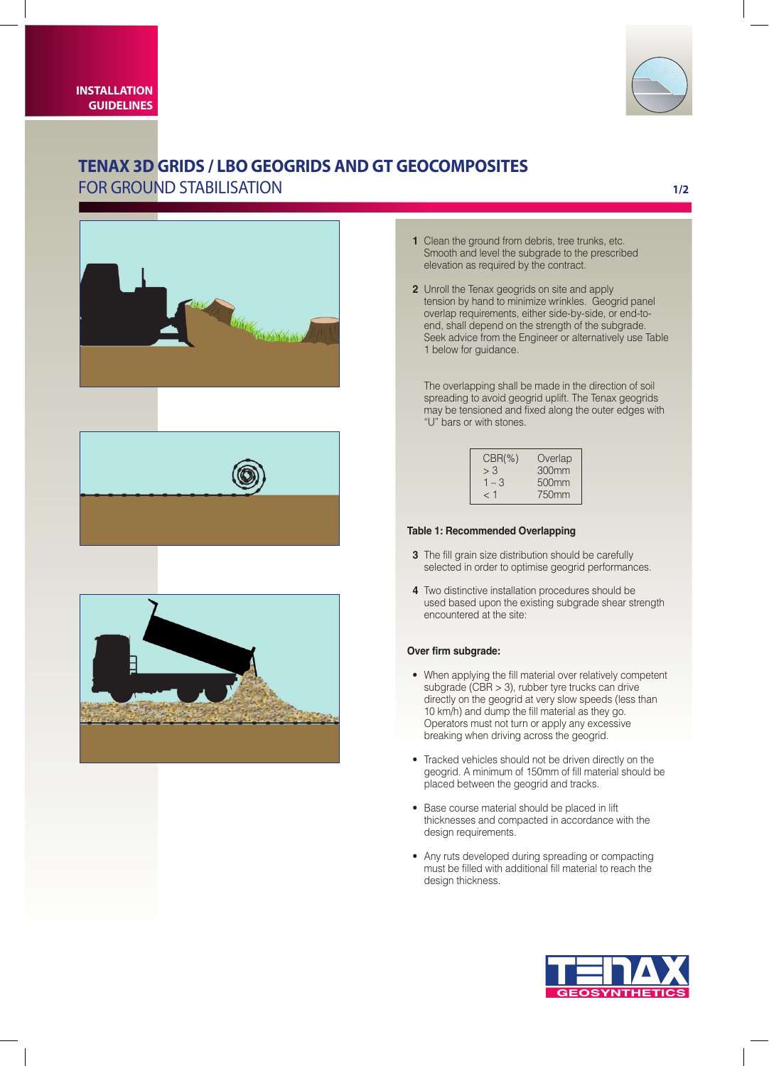



# **Tenax 3D GRIDS / LBO geogrids and GT geocomposites**  for ground stabilisation

# **1/2**







- **1** Clean the ground from debris, tree trunks, etc. Smooth and level the subgrade to the prescribed elevation as required by the contract.
- **2** Unroll the Tenax geogrids on site and apply tension by hand to minimize wrinkles. Geogrid panel overlap requirements, either side-by-side, or end-toend, shall depend on the strength of the subgrade. Seek advice from the Engineer or alternatively use Table 1 below for guidance.

The overlapping shall be made in the direction of soil spreading to avoid geogrid uplift. The Tenax geogrids may be tensioned and fixed along the outer edges with "U" bars or with stones.

| $CBR(\%)$ | Overlap           |
|-----------|-------------------|
| > 3       | 300 <sub>mm</sub> |
| $1 - 3$   | 500 <sub>mm</sub> |
| ุ 1       | 750mm             |

# **Table 1: Recommended Overlapping**

- **3** The fill grain size distribution should be carefully selected in order to optimise geogrid performances.
- **4** Two distinctive installation procedures should be used based upon the existing subgrade shear strength encountered at the site:

### **Over firm subgrade:**

- When applying the fill material over relatively competent subgrade (CBR > 3), rubber tyre trucks can drive directly on the geogrid at very slow speeds (less than 10 km/h) and dump the fill material as they go. Operators must not turn or apply any excessive breaking when driving across the geogrid.
- Tracked vehicles should not be driven directly on the geogrid. A minimum of 150mm of fill material should be placed between the geogrid and tracks.
- Base course material should be placed in lift thicknesses and compacted in accordance with the design requirements.
- Any ruts developed during spreading or compacting must be filled with additional fill material to reach the design thickness.